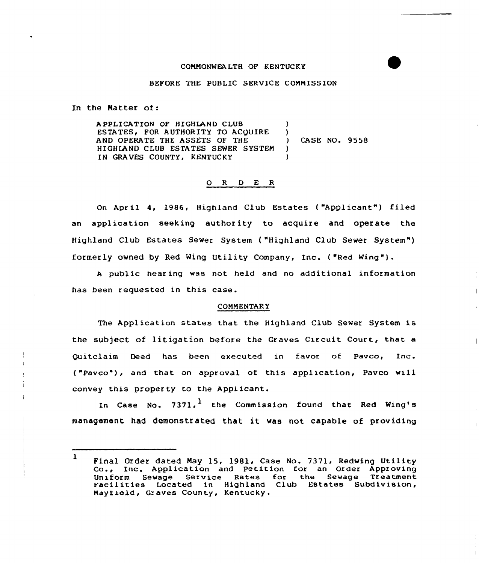# COMMONWEALTH OF KENTUCKY

#### BEFORE THE PUBLIC SERVICE COMMISSION

In the Natter of:

A PPLICAT ION OF HIGHLAND CLUB ESTATES, FOR AUTHORITY TO ACQUIRE AND OPERATE THE ASSETS OF THE HIGHLAND CLUB ESTATES SEWER SYSTEM IN GRAVES COUNTY, KENTUCKY )  $\left\{ \begin{array}{c} 1 \\ 1 \end{array} \right\}$ ) CASE NO. 9558 ) )

## 0 <sup>R</sup> <sup>D</sup> E R

On April 4, 1986, Highland Club Estates ("Applicant") filed an application seeking authority to acquire and operate the Highland Club Estates Sewer System ( "Highland Club Sewer System" ) formerly owned by Red Ming Utility Company, Inc. ("Red Ning" ).

<sup>A</sup> public hear ing was not held and no additional information has been requested in this case.

#### COMMENTAR Y

The Application states that the Highland Club Sewer System is the subject of litigation before the Graves Circuit Court, that a Quitclaim Deed has been executed in favor of Pavco, Inc. ( "Pavco"), and that on approval of this application, Pavco will convey this property to the Applicant.

In Case No. 7371, $^{\text{1}}$  the Commission found that Red Wing' management had demonstrated that it was not capable of providing

<sup>1</sup> Final Order dated Nay 15, 1981, Case No. 7371. Redwing Utility Co., Inc. Application and Petition for an Order Approving Uniform Sewage Service Rates for the Sewage Treatment<br>Facilities Located in Highland Club Estates Subdivision, Mayfield, Graves County, Kentucky.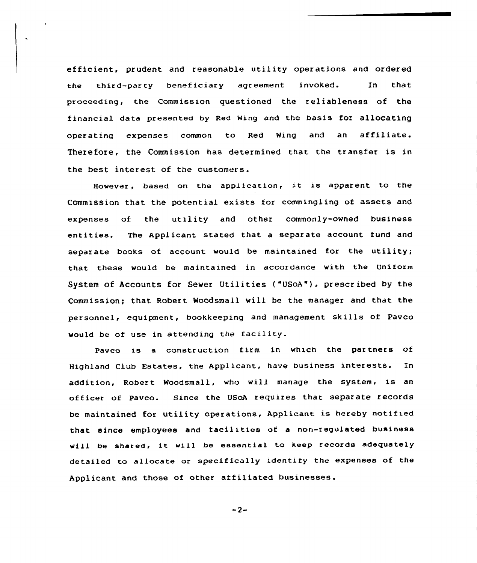efficient, prudent and reasonable utility operations and ordered the third-party beneficiary agreement invoked. In that proceeding, the Commission questioned the reliableness of the financial data presented by Red Ning and the basis for allocating  $\mathop{\mathsf{operating}}$  expenses common to Red Wing and an affiliate. Therefore, the Commission has determined that the transfer is in the best interest of the customers.

However, based on the application, it is apparent to the Commission that the potential exists for commingling of assets and expenses of the utility and other commonly-owned business entities. The Applicant stated that a separate account fund and separate books of account would be maintained for the utility; that these would be maintained in accordance with the Uniform System of Accounts for Sewer Utilities ("USoA"), prescribed by the Commission; that Robert Woodsmall will be the manager and that the personnel, equipment, bookkeeping and management skills of Pavco would be of use in attending the facility.

Pavco is a construction firm in which the partners of Highland Club Estates, the Applicant, have business interests. In addition, Robert Woodsmall, who will manage the system, is an officer of Pavco. Since the USoA requires that separate records be maintained for utility operations, Applicant is hereby notified that since employees and tacilities of a non-regulated business will be shared, it will be essential to keep records adequately detailed to allocate or specifically identify the expenses of the Applicant and those of other affiliated businesses.

 $-2-$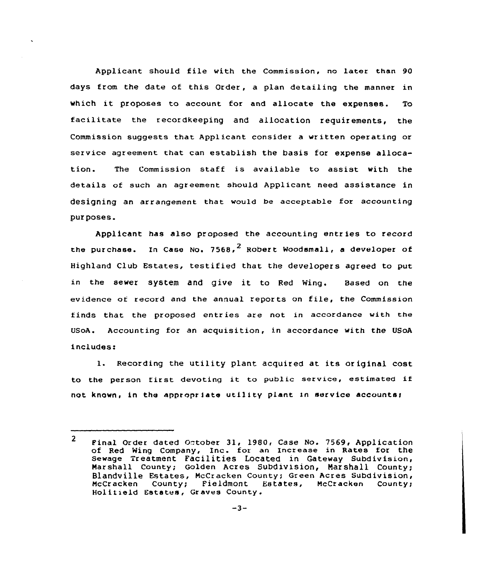Applicant should file with the Commission. no later than 90 days from the date of this Order, a plan detailing the manner in which it proposes to account for and allocate the expenses. To facilitate the recordkeeping and allocation requirements, the Commission suggests that Applicant consider a written operating or service agreement that can establish the basis for expense allocation. The Commission staff is available to assist with the details of such an agreement should Applicant need assistance in designing an arrangement that would be acceptable for accounting pur poses.

Applicant has also proposed the accounting entries to record the purchase. In Case No. 7568,<sup>2</sup> Robert Woodsmall, a developer of Highland Club Estates, testified that the developers agreed to put in the sewer system and give it to Red Wing. Based on the evidence of record and the annual repor ts on file, the Commission finds that the proposed entries are not in accordance with the UsoA. Accounting for an acquisition, in accordance with the USoA includes:

1. Recording the utility plant acquired at its or iginal cost to the person first devoting it to public service, estimated if not known, in the appropriate utility plant in service accounts;

 $2<sup>1</sup>$ Final Order dated October 31, 1980, Case No. 7569, Application of Red Wing Company, Inc. for an Increase in Rates for the Sewage Treatment Facilities Located in Gateway Subdivision, Marshall County; Golden Acres Subdivision, marshall County; Blandville Estates, McCracken County; Green Acres Subdivision,<br>McCracken County; Fieldmont Estates, McCracken County; McCracken County; Fieldmont Holitield Estates, Graves County.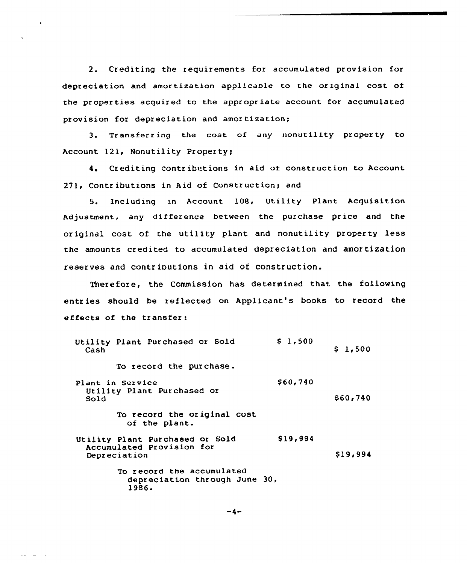2. Crediting the requirements for accumulated provision for depreciation and amortization applicable to the original cost of the properties acquired to the appropriate account for accumulated provision for depreciation and amortization;

3. Transferring the cost of any nonutility property to Account 121, Nonutility Property;

4. Crediting contributions in aid ot construction to Account 271, Contributions in Aid of Construction; and

5. Including xn Account 108, Utility Plant Acquisition Adjustment, any difference between the purchase price and the original cost of the utility plant and nonutility property less the amounts credited to accumulated depreciation and amor tization reserves and contrioutions in aid of construction.

Therefore, the Commission has determined that the following entries should be reflected on Applicant's books to record the effects of the transfer:

| Utility Plant Purchased or Sold<br>Cash                                      | S <sub>1</sub> , 500 | \$1,500  |
|------------------------------------------------------------------------------|----------------------|----------|
| To record the purchase.                                                      |                      |          |
| Plant in Service<br>Utility Plant Purchased or<br>Sold                       | \$60,740             | S60,740  |
| To record the original cost<br>of the plant.                                 |                      |          |
| Utility Plant Purchased or Sold<br>Accumulated Provision for<br>Depreciation | \$19,994             | \$19,994 |
| To record the accumulated<br>depreciation through June 30,<br>1986.          |                      |          |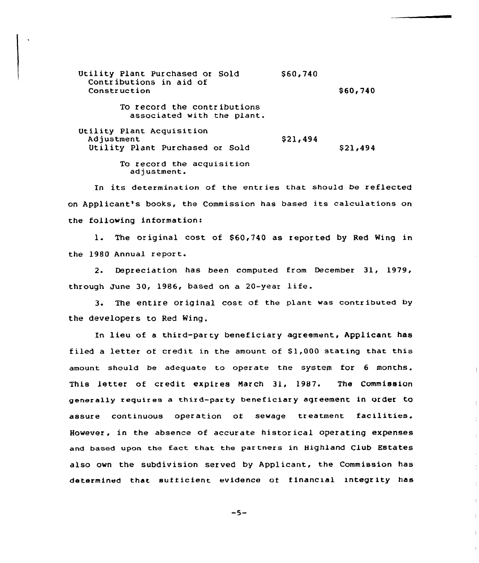Utility Plant Purchased or Sold Contr ibutions in aid of Construction \$ 60,740 \$ 60,740 To record the contributions associated with the plant. Utility Plant Acquisition Adjustment Utility Plant Purchased or Sold \$ 21,494 \$21,494

To record the acquisition<br>adjustment.

In its determination of the entries that should be reflected on Applicant's books, the Commission has based its calculations on the following information:

1. The original cost of \$60,740 as reported by Red Wing in the 1980 Annual report.

2. Depreciation has been computed from December 31, 1979, through June 30, 1986, based on <sup>a</sup> 20-year life.

3. The entire original cost of the plant was contributed by the developers to Red Wing.

In lieu of a third-party beneficiary agreement, Applicant has filed a letter of credit in the amount of  $$1,000$  stating that this amount should be adequate to operate the system for 6 monrhs. This letter of credit expires March 31, 1987. The Commission generally requires a third-party beneficiary agreement in order to assure continuous operation oi sewage treatment facilities. However, in the absence of accurate histor ical operating expenses and based upon the fact that the partners in Highland Club Estates also own the subdivision served by Applicant, the Commission has determined that sufficient evidence of financial integrity has

 $-5-$ 

 $\pm$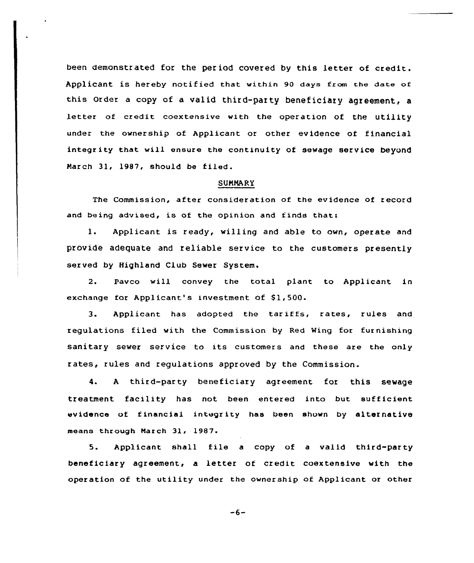been demonstrated for the per iod covered by this letter of credit. Applicant is hereby notified that within 90 days from the date of this Order <sup>a</sup> copy of <sup>a</sup> valid third-party beneficiary agreement, <sup>a</sup> letter of credit coextensive with the operation of the utility under the ownership of Applicant or other evidence of financial integrity that will ensure the continuity of sewage service beyond Narch 31, 1987, should be filed.

## SUNNARY

The Commission, after consideration of the evidence of record and being advised, is of the opinion and finds that:

l. Applicant is ready, willing and able to own, operate and provide adequate and reliable service to the customers presently served by Highland Club Sewer System.

2. Pavco will convey the total plant to Applicant in exchange for Applicant's investment of \$1,500.

3. Applicant has adopted the tariffs, rates, rules and regulations filed with the Commission by Red Wing for furnishing sanitary sewer service to its customers and these are the only rates, rules and regulations approved by the Commission.

4. <sup>A</sup> third-party beneficiary agreement for this sewage treatment facility has not been entered into but sufficient evidence of financial integrity has been shown by alternative means through March 31, 1987.

5. Applicant shall file a copy of a valid third-party beneficiary agreement, a letter of credit coextensive with the operation of the utility under the ownership of AppLicant or other

 $-6-$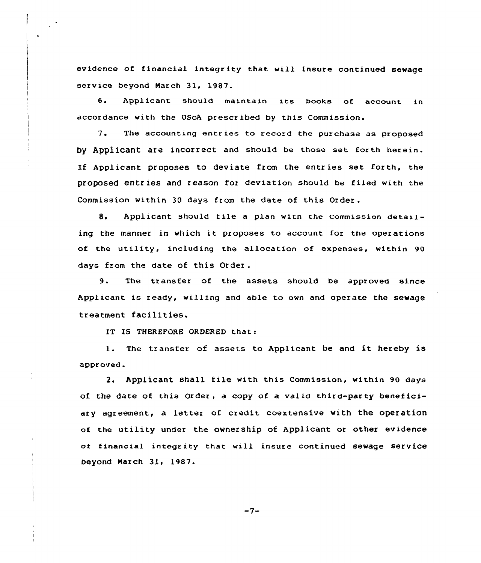evidence of financial integrity that will insure continued sewage service beyond March 31, 1987.

6. Applicant should maintain its books of account in accordance with the USoA prescribed by this Commission.

7. The accounting entr ies to record the purchase as proposed by Applicant are incorrect and should be those set forth herein. If Applicant proposes to deviate from the entr ies set forth, the proposed entries and reason for deviation should be filed with the Commission within <sup>30</sup> days from the date of this Order .

8. Applicant should file a plan with the Commission detailing the manner in which it proposes to account ior the operations of the utility, including the allocation of expenses, within 90 days from the date of this Order .

9. The transfer of the assets should be approved since Applicant is ready, willing and able to own and operate the sewage treatment facilities.

IT IS THEREFORE ORDERED that:

1. The transfer of assets to Applicant be and it hereby is approved.

2. Applicant shall file with this Commission, within 90 days of the date of this Order, a copy of a valid third-party beneficiary agreement, a letter of credit coextensive with the operation of the utility under the ownership of Applicant or other evidence oi financial integrity that will insure continued sewage service beyond March 31, 1987.

 $-7-$